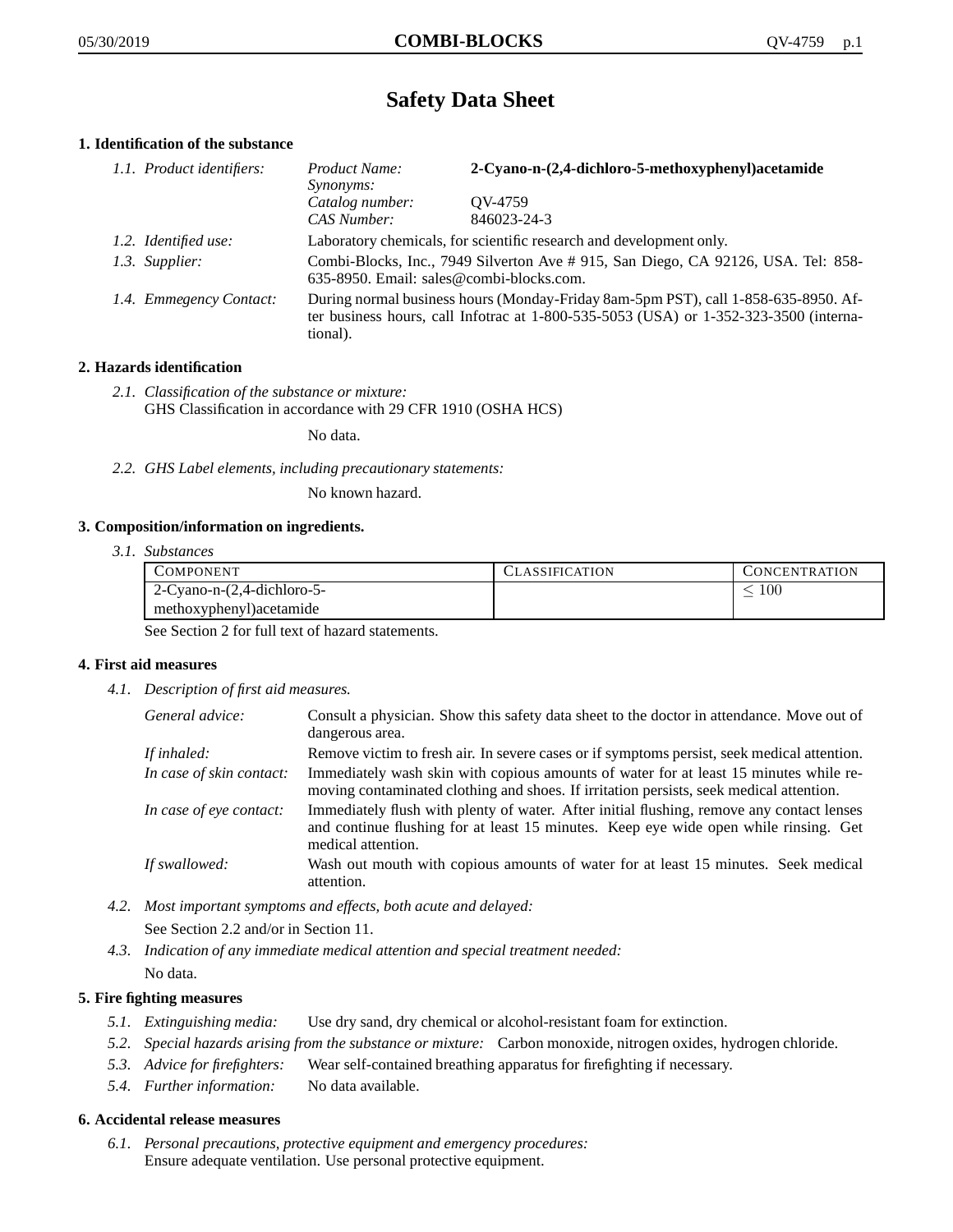# **Safety Data Sheet**

## **1. Identification of the substance**

| 1.1. Product identifiers: | Product Name:<br><i>Synonyms:</i>                                                                                                                                                           | 2-Cyano-n-(2,4-dichloro-5-methoxyphenyl)acetamide |
|---------------------------|---------------------------------------------------------------------------------------------------------------------------------------------------------------------------------------------|---------------------------------------------------|
|                           | Catalog number:<br>CAS Number:                                                                                                                                                              | QV-4759<br>846023-24-3                            |
| 1.2. Identified use:      | Laboratory chemicals, for scientific research and development only.                                                                                                                         |                                                   |
| 1.3. Supplier:            | Combi-Blocks, Inc., 7949 Silverton Ave # 915, San Diego, CA 92126, USA. Tel: 858-<br>635-8950. Email: sales@combi-blocks.com.                                                               |                                                   |
| 1.4. Emmegency Contact:   | During normal business hours (Monday-Friday 8am-5pm PST), call 1-858-635-8950. Af-<br>ter business hours, call Infotrac at $1-800-535-5053$ (USA) or $1-352-323-3500$ (interna-<br>tional). |                                                   |

## **2. Hazards identification**

*2.1. Classification of the substance or mixture:* GHS Classification in accordance with 29 CFR 1910 (OSHA HCS)

No data.

*2.2. GHS Label elements, including precautionary statements:*

No known hazard.

#### **3. Composition/information on ingredients.**

*3.1. Substances*

| COMPONENT                         | LASSIFICATION | CONCENTRATION. |
|-----------------------------------|---------------|----------------|
| $2$ -Cyano-n- $(2,4$ -dichloro-5- |               | 100            |
| methoxyphenyl) acetamide          |               |                |

See Section 2 for full text of hazard statements.

#### **4. First aid measures**

*4.1. Description of first aid measures.*

| General advice:          | Consult a physician. Show this safety data sheet to the doctor in attendance. Move out of<br>dangerous area.                                                                                            |
|--------------------------|---------------------------------------------------------------------------------------------------------------------------------------------------------------------------------------------------------|
| If inhaled:              | Remove victim to fresh air. In severe cases or if symptoms persist, seek medical attention.                                                                                                             |
| In case of skin contact: | Immediately wash skin with copious amounts of water for at least 15 minutes while re-<br>moving contaminated clothing and shoes. If irritation persists, seek medical attention.                        |
| In case of eye contact:  | Immediately flush with plenty of water. After initial flushing, remove any contact lenses<br>and continue flushing for at least 15 minutes. Keep eye wide open while rinsing. Get<br>medical attention. |
| If swallowed:            | Wash out mouth with copious amounts of water for at least 15 minutes. Seek medical<br>attention.                                                                                                        |

*4.2. Most important symptoms and effects, both acute and delayed:*

See Section 2.2 and/or in Section 11.

*4.3. Indication of any immediate medical attention and special treatment needed:* No data.

### **5. Fire fighting measures**

- *5.1. Extinguishing media:* Use dry sand, dry chemical or alcohol-resistant foam for extinction.
- *5.2. Special hazards arising from the substance or mixture:* Carbon monoxide, nitrogen oxides, hydrogen chloride.
- *5.3. Advice for firefighters:* Wear self-contained breathing apparatus for firefighting if necessary.
- *5.4. Further information:* No data available.

## **6. Accidental release measures**

*6.1. Personal precautions, protective equipment and emergency procedures:* Ensure adequate ventilation. Use personal protective equipment.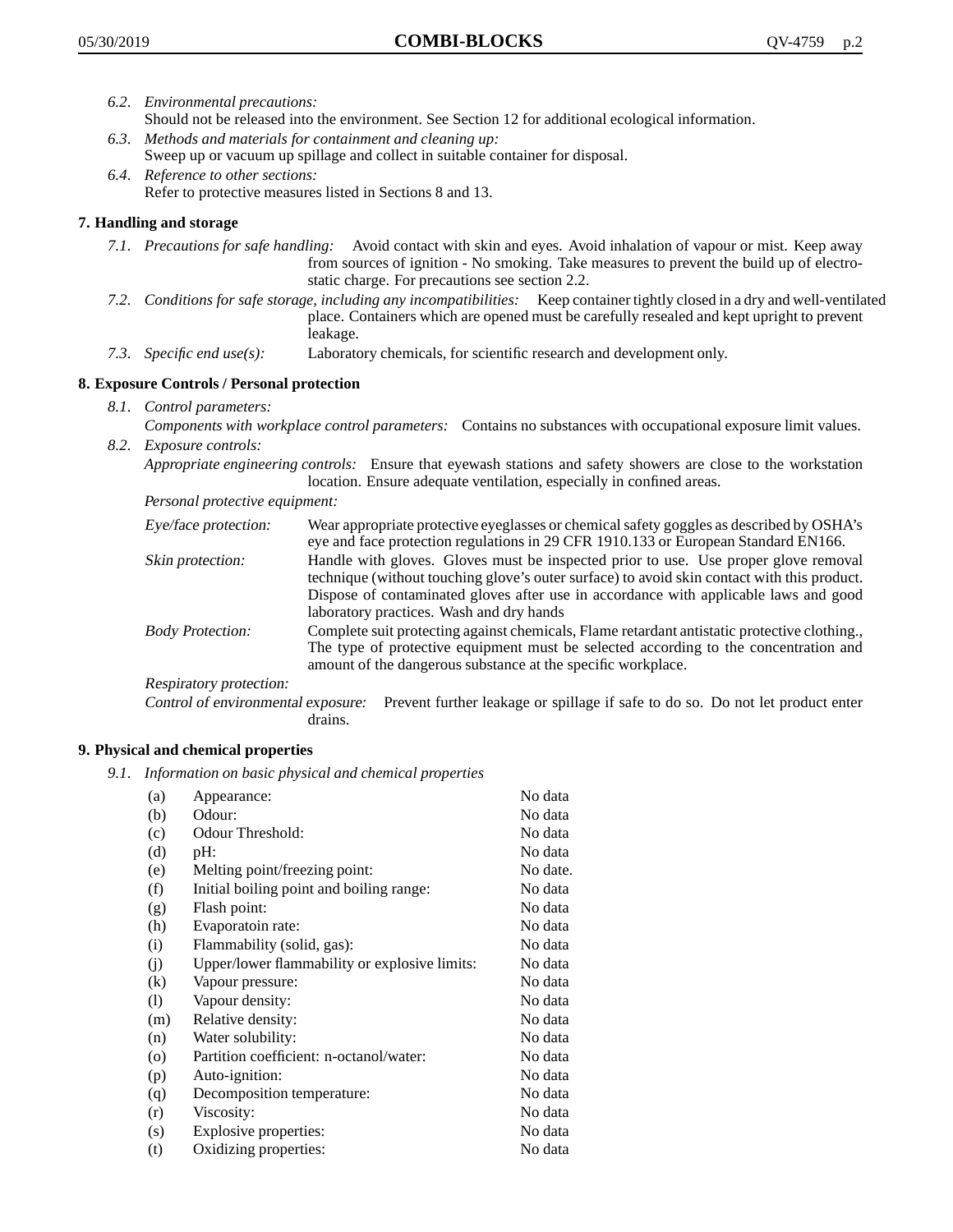- *6.2. Environmental precautions:* Should not be released into the environment. See Section 12 for additional ecological information.
- *6.3. Methods and materials for containment and cleaning up:* Sweep up or vacuum up spillage and collect in suitable container for disposal.
- *6.4. Reference to other sections:* Refer to protective measures listed in Sections 8 and 13.

## **7. Handling and storage**

- *7.1. Precautions for safe handling:* Avoid contact with skin and eyes. Avoid inhalation of vapour or mist. Keep away from sources of ignition - No smoking. Take measures to prevent the build up of electrostatic charge. For precautions see section 2.2.
- *7.2. Conditions for safe storage, including any incompatibilities:* Keep container tightly closed in a dry and well-ventilated place. Containers which are opened must be carefully resealed and kept upright to prevent leakage.
- *7.3. Specific end use(s):* Laboratory chemicals, for scientific research and development only.

## **8. Exposure Controls / Personal protection**

- *8.1. Control parameters:*
- *Components with workplace control parameters:* Contains no substances with occupational exposure limit values. *8.2. Exposure controls:*

*Appropriate engineering controls:* Ensure that eyewash stations and safety showers are close to the workstation location. Ensure adequate ventilation, especially in confined areas.

*Personal protective equipment:*

| Eye/face protection:    | Wear appropriate protective eyeglasses or chemical safety goggles as described by OSHA's<br>eye and face protection regulations in 29 CFR 1910.133 or European Standard EN166.                                                                                                                                         |
|-------------------------|------------------------------------------------------------------------------------------------------------------------------------------------------------------------------------------------------------------------------------------------------------------------------------------------------------------------|
| Skin protection:        | Handle with gloves. Gloves must be inspected prior to use. Use proper glove removal<br>technique (without touching glove's outer surface) to avoid skin contact with this product.<br>Dispose of contaminated gloves after use in accordance with applicable laws and good<br>laboratory practices. Wash and dry hands |
| <b>Body Protection:</b> | Complete suit protecting against chemicals, Flame retardant antistatic protective clothing.,<br>The type of protective equipment must be selected according to the concentration and<br>amount of the dangerous substance at the specific workplace.                                                                   |
| Respiratory protection: |                                                                                                                                                                                                                                                                                                                        |

Control of environmental exposure: Prevent further leakage or spillage if safe to do so. Do not let product enter drains.

#### **9. Physical and chemical properties**

*9.1. Information on basic physical and chemical properties*

| (a)               | Appearance:                                   | No data  |
|-------------------|-----------------------------------------------|----------|
| (b)               | Odour:                                        | No data  |
| (c)               | Odour Threshold:                              | No data  |
| (d)               | pH:                                           | No data  |
| (e)               | Melting point/freezing point:                 | No date. |
| (f)               | Initial boiling point and boiling range:      | No data  |
| (g)               | Flash point:                                  | No data  |
| (h)               | Evaporatoin rate:                             | No data  |
| (i)               | Flammability (solid, gas):                    | No data  |
| (j)               | Upper/lower flammability or explosive limits: | No data  |
| $\left( k\right)$ | Vapour pressure:                              | No data  |
| (1)               | Vapour density:                               | No data  |
| (m)               | Relative density:                             | No data  |
| (n)               | Water solubility:                             | No data  |
| $\circ$           | Partition coefficient: n-octanol/water:       | No data  |
| (p)               | Auto-ignition:                                | No data  |
| (q)               | Decomposition temperature:                    | No data  |
| (r)               | Viscosity:                                    | No data  |
| (s)               | Explosive properties:                         | No data  |
| (t)               | Oxidizing properties:                         | No data  |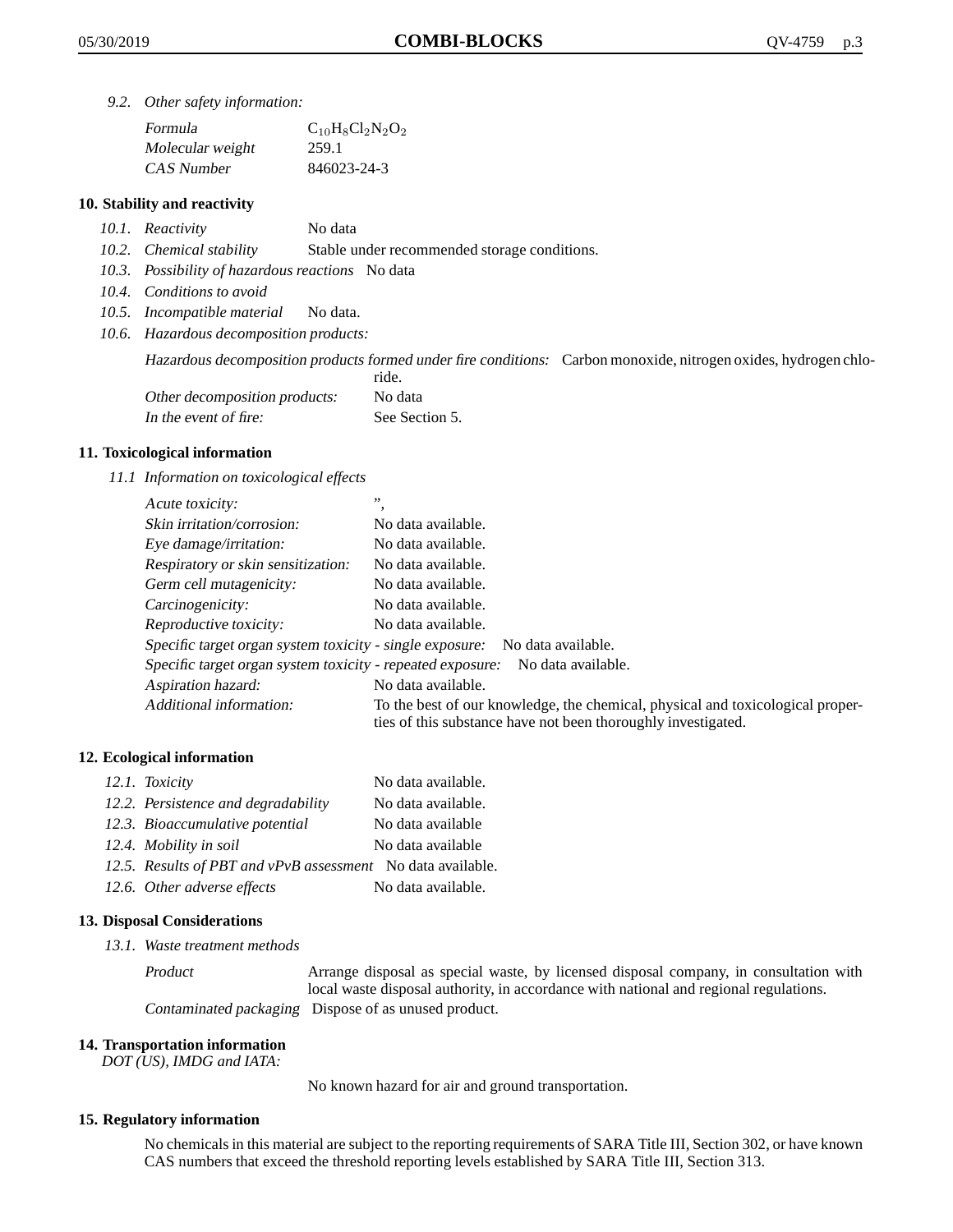*9.2. Other safety information:*

| Formula          | $C_{10}H_8Cl_2N_2O_2$ |
|------------------|-----------------------|
| Molecular weight | 259.1                 |
| CAS Number       | 846023-24-3           |

## **10. Stability and reactivity**

- *10.1. Reactivity* No data
- *10.2. Chemical stability* Stable under recommended storage conditions.
- *10.3. Possibility of hazardous reactions* No data
- *10.4. Conditions to avoid*
- *10.5. Incompatible material* No data.
- *10.6. Hazardous decomposition products:*

Hazardous decomposition products formed under fire conditions: Carbon monoxide, nitrogen oxides, hydrogen chlo-

|                               | ride.          |
|-------------------------------|----------------|
| Other decomposition products: | No data        |
| In the event of fire:         | See Section 5. |

#### **11. Toxicological information**

*11.1 Information on toxicological effects*

| Acute toxicity:                                                                  | ,,                                                                                                                                              |  |
|----------------------------------------------------------------------------------|-------------------------------------------------------------------------------------------------------------------------------------------------|--|
| Skin irritation/corrosion:                                                       | No data available.                                                                                                                              |  |
| Eye damage/irritation:                                                           | No data available.                                                                                                                              |  |
| Respiratory or skin sensitization:                                               | No data available.                                                                                                                              |  |
| Germ cell mutagenicity:                                                          | No data available.                                                                                                                              |  |
| Carcinogenicity:                                                                 | No data available.                                                                                                                              |  |
| Reproductive toxicity:                                                           | No data available.                                                                                                                              |  |
| Specific target organ system toxicity - single exposure:<br>No data available.   |                                                                                                                                                 |  |
| Specific target organ system toxicity - repeated exposure:<br>No data available. |                                                                                                                                                 |  |
| Aspiration hazard:                                                               | No data available.                                                                                                                              |  |
| Additional information:                                                          | To the best of our knowledge, the chemical, physical and toxicological proper-<br>ties of this substance have not been thoroughly investigated. |  |

#### **12. Ecological information**

| 12.1. Toxicity                                              | No data available. |
|-------------------------------------------------------------|--------------------|
| 12.2. Persistence and degradability                         | No data available. |
| 12.3. Bioaccumulative potential                             | No data available  |
| 12.4. Mobility in soil                                      | No data available  |
| 12.5. Results of PBT and vPvB assessment No data available. |                    |
| 12.6. Other adverse effects                                 | No data available. |

#### **13. Disposal Considerations**

*13.1. Waste treatment methods*

Product Arrange disposal as special waste, by licensed disposal company, in consultation with local waste disposal authority, in accordance with national and regional regulations. Contaminated packaging Dispose of as unused product.

#### **14. Transportation information**

*DOT (US), IMDG and IATA:*

No known hazard for air and ground transportation.

#### **15. Regulatory information**

No chemicals in this material are subject to the reporting requirements of SARA Title III, Section 302, or have known CAS numbers that exceed the threshold reporting levels established by SARA Title III, Section 313.